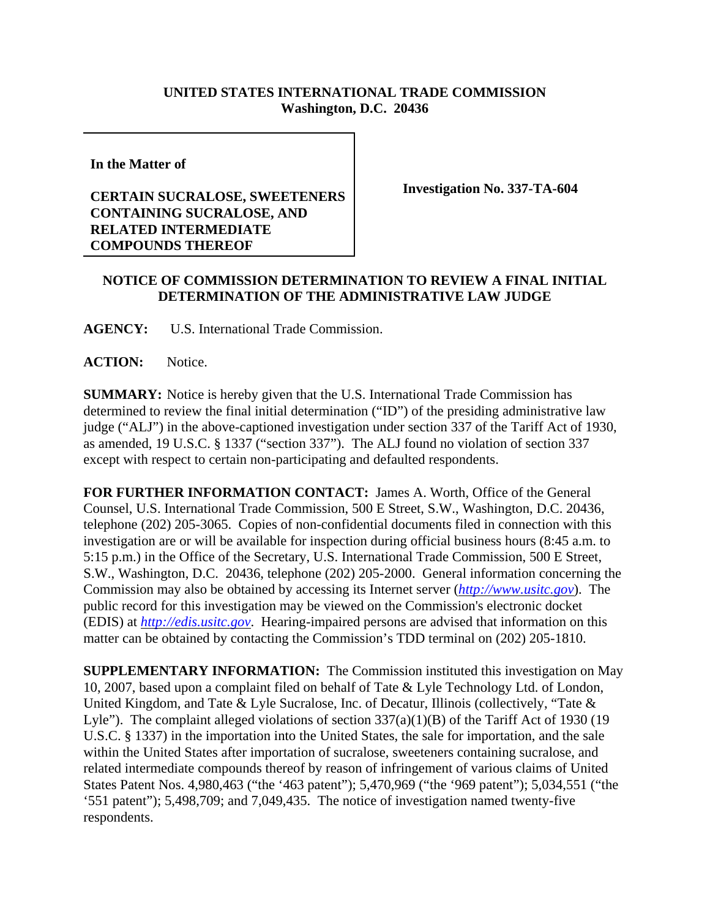## **UNITED STATES INTERNATIONAL TRADE COMMISSION Washington, D.C. 20436**

**In the Matter of**

## **CERTAIN SUCRALOSE, SWEETENERS CONTAINING SUCRALOSE, AND RELATED INTERMEDIATE COMPOUNDS THEREOF**

**Investigation No. 337-TA-604**

## **NOTICE OF COMMISSION DETERMINATION TO REVIEW A FINAL INITIAL DETERMINATION OF THE ADMINISTRATIVE LAW JUDGE**

**AGENCY:** U.S. International Trade Commission.

**ACTION:** Notice.

**SUMMARY:** Notice is hereby given that the U.S. International Trade Commission has determined to review the final initial determination ("ID") of the presiding administrative law judge ("ALJ") in the above-captioned investigation under section 337 of the Tariff Act of 1930, as amended, 19 U.S.C. § 1337 ("section 337"). The ALJ found no violation of section 337 except with respect to certain non-participating and defaulted respondents.

**FOR FURTHER INFORMATION CONTACT:** James A. Worth, Office of the General Counsel, U.S. International Trade Commission, 500 E Street, S.W., Washington, D.C. 20436, telephone (202) 205-3065. Copies of non-confidential documents filed in connection with this investigation are or will be available for inspection during official business hours (8:45 a.m. to 5:15 p.m.) in the Office of the Secretary, U.S. International Trade Commission, 500 E Street, S.W., Washington, D.C. 20436, telephone (202) 205-2000. General information concerning the Commission may also be obtained by accessing its Internet server (*http://www.usitc.gov*). The public record for this investigation may be viewed on the Commission's electronic docket (EDIS) at *http://edis.usitc.gov*. Hearing-impaired persons are advised that information on this matter can be obtained by contacting the Commission's TDD terminal on (202) 205-1810.

**SUPPLEMENTARY INFORMATION:** The Commission instituted this investigation on May 10, 2007, based upon a complaint filed on behalf of Tate & Lyle Technology Ltd. of London, United Kingdom, and Tate & Lyle Sucralose, Inc. of Decatur, Illinois (collectively, "Tate & Lyle"). The complaint alleged violations of section 337(a)(1)(B) of the Tariff Act of 1930 (19 U.S.C. § 1337) in the importation into the United States, the sale for importation, and the sale within the United States after importation of sucralose, sweeteners containing sucralose, and related intermediate compounds thereof by reason of infringement of various claims of United States Patent Nos. 4,980,463 ("the '463 patent"); 5,470,969 ("the '969 patent"); 5,034,551 ("the '551 patent"); 5,498,709; and 7,049,435. The notice of investigation named twenty-five respondents.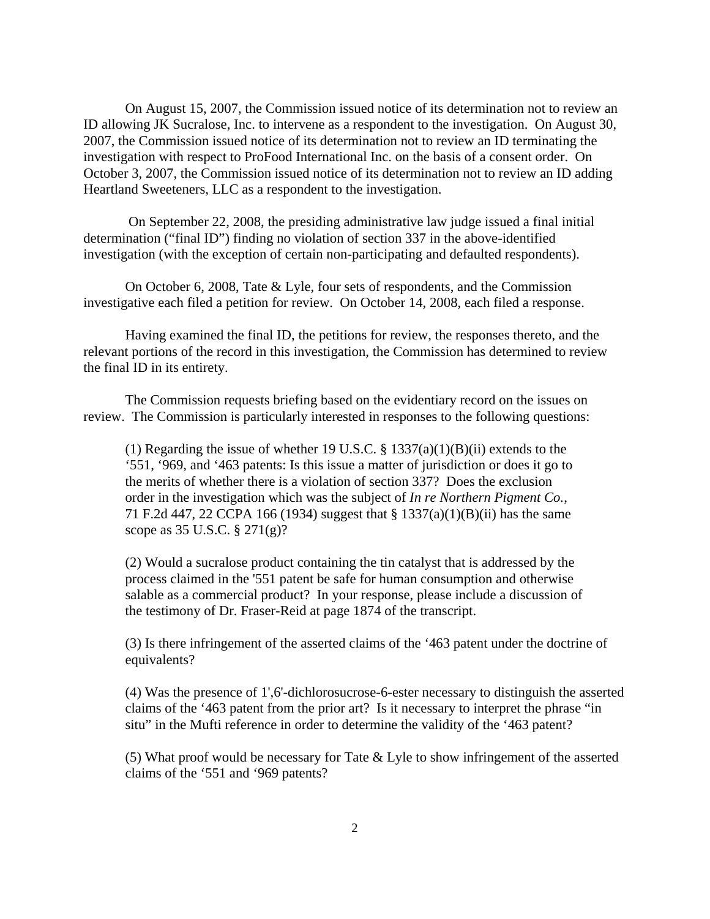On August 15, 2007, the Commission issued notice of its determination not to review an ID allowing JK Sucralose, Inc. to intervene as a respondent to the investigation. On August 30, 2007, the Commission issued notice of its determination not to review an ID terminating the investigation with respect to ProFood International Inc. on the basis of a consent order. On October 3, 2007, the Commission issued notice of its determination not to review an ID adding Heartland Sweeteners, LLC as a respondent to the investigation.

 On September 22, 2008, the presiding administrative law judge issued a final initial determination ("final ID") finding no violation of section 337 in the above-identified investigation (with the exception of certain non-participating and defaulted respondents).

On October 6, 2008, Tate & Lyle, four sets of respondents, and the Commission investigative each filed a petition for review. On October 14, 2008, each filed a response.

Having examined the final ID, the petitions for review, the responses thereto, and the relevant portions of the record in this investigation, the Commission has determined to review the final ID in its entirety.

The Commission requests briefing based on the evidentiary record on the issues on review. The Commission is particularly interested in responses to the following questions:

(1) Regarding the issue of whether 19 U.S.C.  $\S$  1337(a)(1)(B)(ii) extends to the '551, '969, and '463 patents: Is this issue a matter of jurisdiction or does it go to the merits of whether there is a violation of section 337? Does the exclusion order in the investigation which was the subject of *In re Northern Pigment Co.*, 71 F.2d 447, 22 CCPA 166 (1934) suggest that § 1337(a)(1)(B)(ii) has the same scope as 35 U.S.C. § 271(g)?

(2) Would a sucralose product containing the tin catalyst that is addressed by the process claimed in the '551 patent be safe for human consumption and otherwise salable as a commercial product? In your response, please include a discussion of the testimony of Dr. Fraser-Reid at page 1874 of the transcript.

(3) Is there infringement of the asserted claims of the '463 patent under the doctrine of equivalents?

(4) Was the presence of 1',6'-dichlorosucrose-6-ester necessary to distinguish the asserted claims of the '463 patent from the prior art? Is it necessary to interpret the phrase "in situ" in the Mufti reference in order to determine the validity of the '463 patent?

(5) What proof would be necessary for Tate & Lyle to show infringement of the asserted claims of the '551 and '969 patents?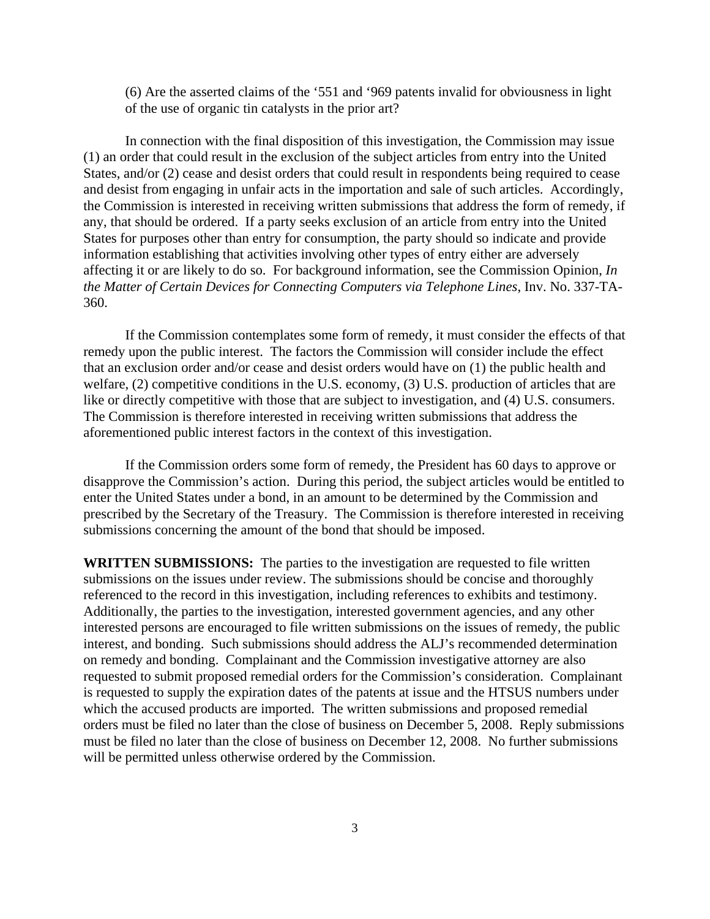(6) Are the asserted claims of the '551 and '969 patents invalid for obviousness in light of the use of organic tin catalysts in the prior art?

In connection with the final disposition of this investigation, the Commission may issue (1) an order that could result in the exclusion of the subject articles from entry into the United States, and/or (2) cease and desist orders that could result in respondents being required to cease and desist from engaging in unfair acts in the importation and sale of such articles. Accordingly, the Commission is interested in receiving written submissions that address the form of remedy, if any, that should be ordered. If a party seeks exclusion of an article from entry into the United States for purposes other than entry for consumption, the party should so indicate and provide information establishing that activities involving other types of entry either are adversely affecting it or are likely to do so. For background information, see the Commission Opinion, *In the Matter of Certain Devices for Connecting Computers via Telephone Lines*, Inv. No. 337-TA-360.

If the Commission contemplates some form of remedy, it must consider the effects of that remedy upon the public interest. The factors the Commission will consider include the effect that an exclusion order and/or cease and desist orders would have on (1) the public health and welfare, (2) competitive conditions in the U.S. economy, (3) U.S. production of articles that are like or directly competitive with those that are subject to investigation, and (4) U.S. consumers. The Commission is therefore interested in receiving written submissions that address the aforementioned public interest factors in the context of this investigation.

If the Commission orders some form of remedy, the President has 60 days to approve or disapprove the Commission's action. During this period, the subject articles would be entitled to enter the United States under a bond, in an amount to be determined by the Commission and prescribed by the Secretary of the Treasury. The Commission is therefore interested in receiving submissions concerning the amount of the bond that should be imposed.

**WRITTEN SUBMISSIONS:** The parties to the investigation are requested to file written submissions on the issues under review. The submissions should be concise and thoroughly referenced to the record in this investigation, including references to exhibits and testimony. Additionally, the parties to the investigation, interested government agencies, and any other interested persons are encouraged to file written submissions on the issues of remedy, the public interest, and bonding. Such submissions should address the ALJ's recommended determination on remedy and bonding. Complainant and the Commission investigative attorney are also requested to submit proposed remedial orders for the Commission's consideration. Complainant is requested to supply the expiration dates of the patents at issue and the HTSUS numbers under which the accused products are imported. The written submissions and proposed remedial orders must be filed no later than the close of business on December 5, 2008. Reply submissions must be filed no later than the close of business on December 12, 2008. No further submissions will be permitted unless otherwise ordered by the Commission.